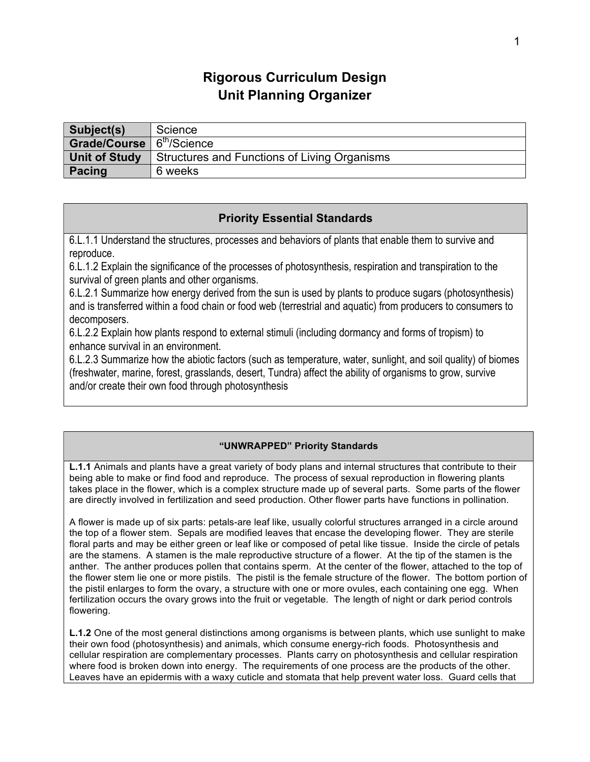# **Rigorous Curriculum Design Unit Planning Organizer**

| Subject(s)                            | Science                                      |
|---------------------------------------|----------------------------------------------|
| Grade/Course 6 <sup>th</sup> /Science |                                              |
| <b>Unit of Study</b>                  | Structures and Functions of Living Organisms |
| Pacing                                | 6 weeks                                      |

## **Priority Essential Standards**

6.L.1.1 Understand the structures, processes and behaviors of plants that enable them to survive and reproduce.

6.L.1.2 Explain the significance of the processes of photosynthesis, respiration and transpiration to the survival of green plants and other organisms.

6.L.2.1 Summarize how energy derived from the sun is used by plants to produce sugars (photosynthesis) and is transferred within a food chain or food web (terrestrial and aquatic) from producers to consumers to decomposers.

6.L.2.2 Explain how plants respond to external stimuli (including dormancy and forms of tropism) to enhance survival in an environment.

6.L.2.3 Summarize how the abiotic factors (such as temperature, water, sunlight, and soil quality) of biomes (freshwater, marine, forest, grasslands, desert, Tundra) affect the ability of organisms to grow, survive and/or create their own food through photosynthesis

### **"UNWRAPPED" Priority Standards**

**L.1.1** Animals and plants have a great variety of body plans and internal structures that contribute to their being able to make or find food and reproduce. The process of sexual reproduction in flowering plants takes place in the flower, which is a complex structure made up of several parts. Some parts of the flower are directly involved in fertilization and seed production. Other flower parts have functions in pollination.

A flower is made up of six parts: petals-are leaf like, usually colorful structures arranged in a circle around the top of a flower stem. Sepals are modified leaves that encase the developing flower. They are sterile floral parts and may be either green or leaf like or composed of petal like tissue. Inside the circle of petals are the stamens. A stamen is the male reproductive structure of a flower. At the tip of the stamen is the anther. The anther produces pollen that contains sperm. At the center of the flower, attached to the top of the flower stem lie one or more pistils. The pistil is the female structure of the flower. The bottom portion of the pistil enlarges to form the ovary, a structure with one or more ovules, each containing one egg. When fertilization occurs the ovary grows into the fruit or vegetable. The length of night or dark period controls flowering.

**L.1.2** One of the most general distinctions among organisms is between plants, which use sunlight to make their own food (photosynthesis) and animals, which consume energy-rich foods. Photosynthesis and cellular respiration are complementary processes. Plants carry on photosynthesis and cellular respiration where food is broken down into energy. The requirements of one process are the products of the other. Leaves have an epidermis with a waxy cuticle and stomata that help prevent water loss. Guard cells that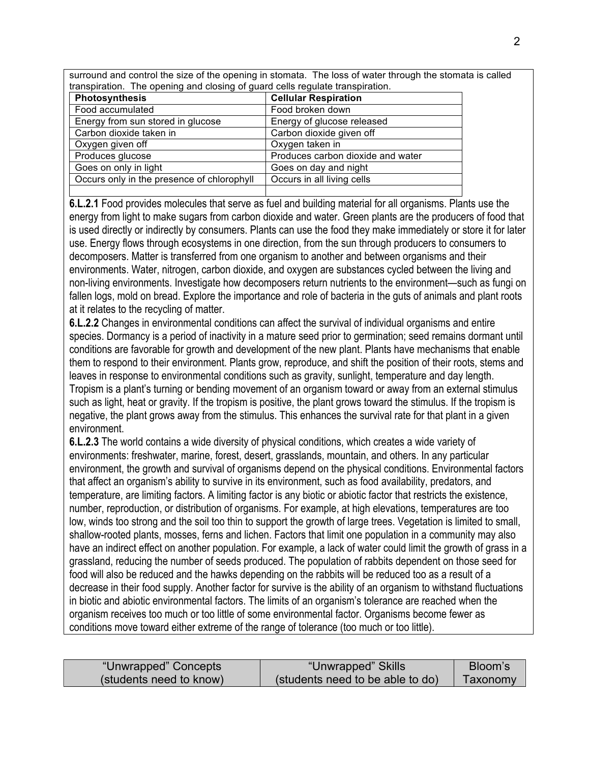surround and control the size of the opening in stomata. The loss of water through the stomata is called transpiration. The opening and closing of guard cells regulate transpiration.

| Photosynthesis                             | <b>Cellular Respiration</b>       |
|--------------------------------------------|-----------------------------------|
| Food accumulated                           | Food broken down                  |
| Energy from sun stored in glucose          | Energy of glucose released        |
| Carbon dioxide taken in                    | Carbon dioxide given off          |
| Oxygen given off                           | Oxygen taken in                   |
| Produces glucose                           | Produces carbon dioxide and water |
| Goes on only in light                      | Goes on day and night             |
| Occurs only in the presence of chlorophyll | Occurs in all living cells        |
|                                            |                                   |

**6.L.2.1** Food provides molecules that serve as fuel and building material for all organisms. Plants use the energy from light to make sugars from carbon dioxide and water. Green plants are the producers of food that is used directly or indirectly by consumers. Plants can use the food they make immediately or store it for later use. Energy flows through ecosystems in one direction, from the sun through producers to consumers to decomposers. Matter is transferred from one organism to another and between organisms and their environments. Water, nitrogen, carbon dioxide, and oxygen are substances cycled between the living and non-living environments. Investigate how decomposers return nutrients to the environment—such as fungi on fallen logs, mold on bread. Explore the importance and role of bacteria in the guts of animals and plant roots at it relates to the recycling of matter.

**6.L.2.2** Changes in environmental conditions can affect the survival of individual organisms and entire species. Dormancy is a period of inactivity in a mature seed prior to germination; seed remains dormant until conditions are favorable for growth and development of the new plant. Plants have mechanisms that enable them to respond to their environment. Plants grow, reproduce, and shift the position of their roots, stems and leaves in response to environmental conditions such as gravity, sunlight, temperature and day length. Tropism is a plant's turning or bending movement of an organism toward or away from an external stimulus such as light, heat or gravity. If the tropism is positive, the plant grows toward the stimulus. If the tropism is negative, the plant grows away from the stimulus. This enhances the survival rate for that plant in a given environment.

**6.L.2.3** The world contains a wide diversity of physical conditions, which creates a wide variety of environments: freshwater, marine, forest, desert, grasslands, mountain, and others. In any particular environment, the growth and survival of organisms depend on the physical conditions. Environmental factors that affect an organism's ability to survive in its environment, such as food availability, predators, and temperature, are limiting factors. A limiting factor is any biotic or abiotic factor that restricts the existence, number, reproduction, or distribution of organisms. For example, at high elevations, temperatures are too low, winds too strong and the soil too thin to support the growth of large trees. Vegetation is limited to small, shallow-rooted plants, mosses, ferns and lichen. Factors that limit one population in a community may also have an indirect effect on another population. For example, a lack of water could limit the growth of grass in a grassland, reducing the number of seeds produced. The population of rabbits dependent on those seed for food will also be reduced and the hawks depending on the rabbits will be reduced too as a result of a decrease in their food supply. Another factor for survive is the ability of an organism to withstand fluctuations in biotic and abiotic environmental factors. The limits of an organism's tolerance are reached when the organism receives too much or too little of some environmental factor. Organisms become fewer as conditions move toward either extreme of the range of tolerance (too much or too little).

| "Unwrapped" Concepts    | "Unwrapped" Skills               | Bloom's  |
|-------------------------|----------------------------------|----------|
| (students need to know) | (students need to be able to do) | Taxonomy |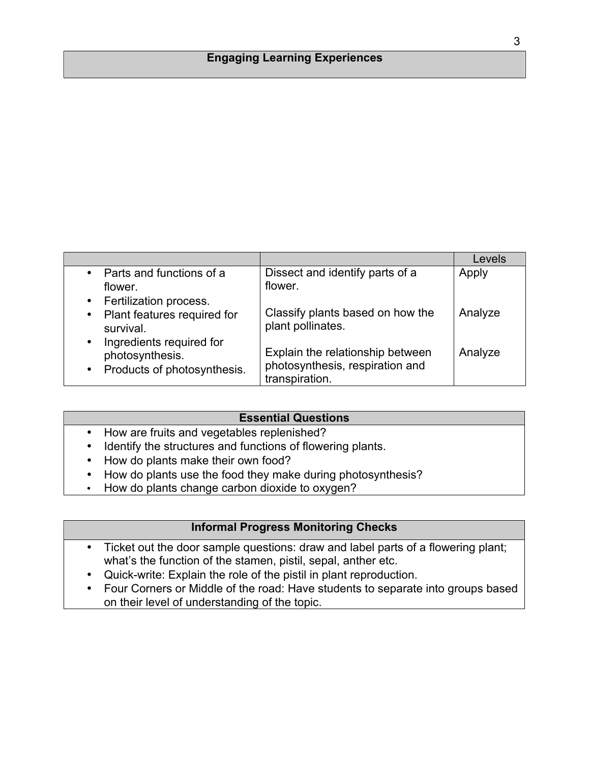## **Engaging Learning Experiences**

|                                                                                                      |                                                                                       | Levels  |
|------------------------------------------------------------------------------------------------------|---------------------------------------------------------------------------------------|---------|
| Parts and functions of a<br>$\bullet$                                                                | Dissect and identify parts of a                                                       | Apply   |
| flower.                                                                                              | flower.                                                                               |         |
| Fertilization process.<br>$\bullet$                                                                  |                                                                                       |         |
| Plant features required for<br>$\bullet$<br>survival.                                                | Classify plants based on how the<br>plant pollinates.                                 | Analyze |
| Ingredients required for<br>$\bullet$<br>photosynthesis.<br>Products of photosynthesis.<br>$\bullet$ | Explain the relationship between<br>photosynthesis, respiration and<br>transpiration. | Analyze |

#### **Essential Questions**

- How are fruits and vegetables replenished?
- Identify the structures and functions of flowering plants.
- How do plants make their own food?
- How do plants use the food they make during photosynthesis?
- How do plants change carbon dioxide to oxygen?

## **Informal Progress Monitoring Checks**

- Ticket out the door sample questions: draw and label parts of a flowering plant; what's the function of the stamen, pistil, sepal, anther etc.
- Quick-write: Explain the role of the pistil in plant reproduction.
- Four Corners or Middle of the road: Have students to separate into groups based on their level of understanding of the topic.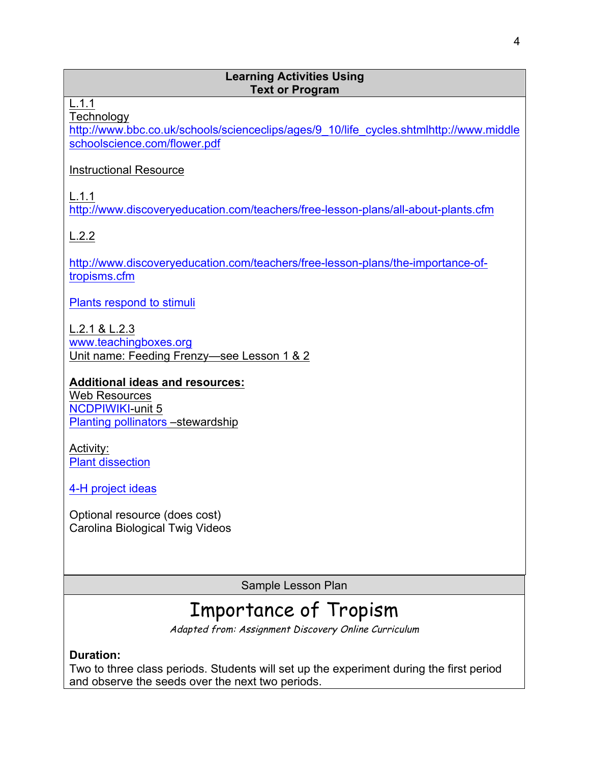## **Learning Activities Using Text or Program**

L.1.1

**Technology** 

http://www.bbc.co.uk/schools/scienceclips/ages/9\_10/life\_cycles.shtmlhttp://www.middle schoolscience.com/flower.pdf

## Instructional Resource

L.1.1

http://www.discoveryeducation.com/teachers/free-lesson-plans/all-about-plants.cfm

L.2.2

http://www.discoveryeducation.com/teachers/free-lesson-plans/the-importance-oftropisms.cfm

Plants respond to stimuli

L.2.1 & L.2.3

www.teachingboxes.org Unit name: Feeding Frenzy—see Lesson 1 & 2

**Additional ideas and resources:** Web Resources

NCDPIWIKI-unit 5 Planting pollinators –stewardship

Activity: Plant dissection

4-H project ideas

Optional resource (does cost) Carolina Biological Twig Videos

Sample Lesson Plan

# Importance of Tropism

Adapted from: Assignment Discovery Online Curriculum

**Duration:**

Two to three class periods. Students will set up the experiment during the first period and observe the seeds over the next two periods.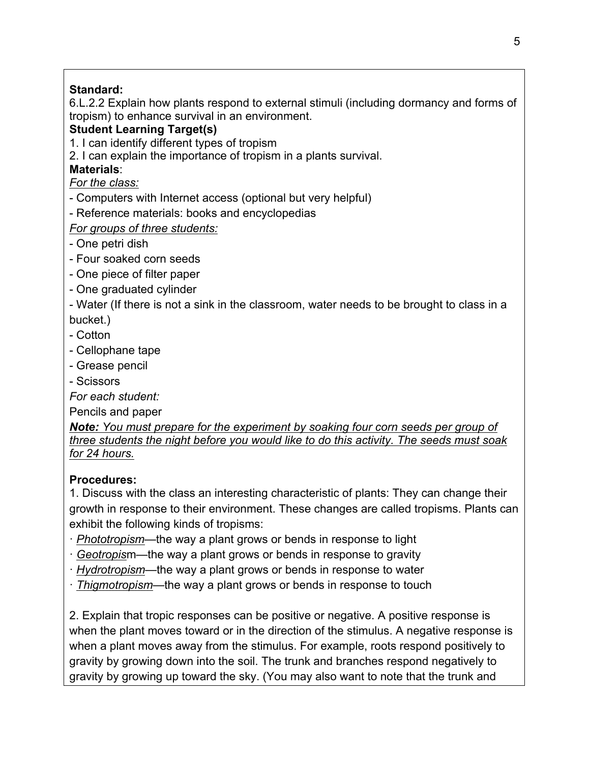# **Standard:**

6.L.2.2 Explain how plants respond to external stimuli (including dormancy and forms of tropism) to enhance survival in an environment.

# **Student Learning Target(s)**

1. I can identify different types of tropism

2. I can explain the importance of tropism in a plants survival.

# **Materials**:

# *For the class:*

- Computers with Internet access (optional but very helpful)
- Reference materials: books and encyclopedias

# *For groups of three students:*

- One petri dish
- Four soaked corn seeds
- One piece of filter paper
- One graduated cylinder
- Water (If there is not a sink in the classroom, water needs to be brought to class in a bucket.)
- Cotton
- Cellophane tape
- Grease pencil
- Scissors

*For each student:*

Pencils and paper

*Note: You must prepare for the experiment by soaking four corn seeds per group of three students the night before you would like to do this activity. The seeds must soak for 24 hours.*

# **Procedures:**

1. Discuss with the class an interesting characteristic of plants: They can change their growth in response to their environment. These changes are called tropisms. Plants can exhibit the following kinds of tropisms:

- · *Phototropism*—the way a plant grows or bends in response to light
- · *Geotropis*m—the way a plant grows or bends in response to gravity
- · *Hydrotropism*—the way a plant grows or bends in response to water
- · *Thigmotropism*—the way a plant grows or bends in response to touch

2. Explain that tropic responses can be positive or negative. A positive response is when the plant moves toward or in the direction of the stimulus. A negative response is when a plant moves away from the stimulus. For example, roots respond positively to gravity by growing down into the soil. The trunk and branches respond negatively to gravity by growing up toward the sky. (You may also want to note that the trunk and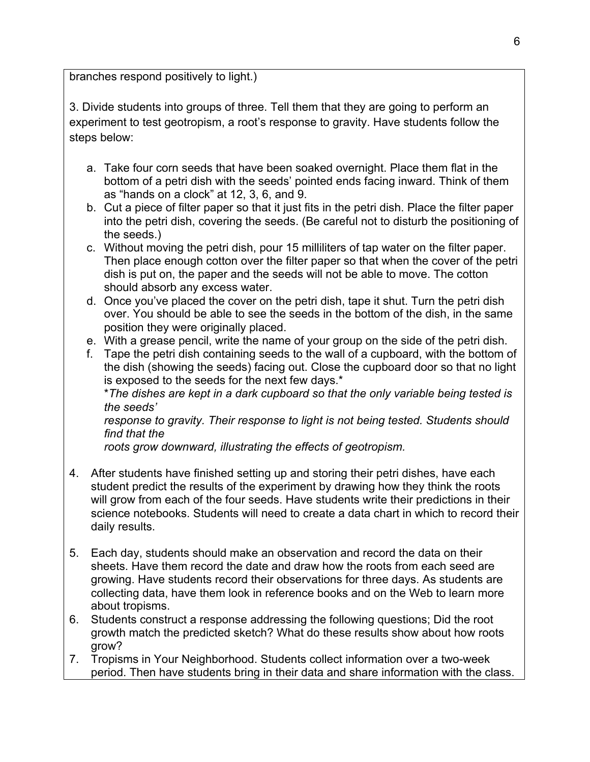branches respond positively to light.)

3. Divide students into groups of three. Tell them that they are going to perform an experiment to test geotropism, a root's response to gravity. Have students follow the steps below:

- a. Take four corn seeds that have been soaked overnight. Place them flat in the bottom of a petri dish with the seeds' pointed ends facing inward. Think of them as "hands on a clock" at 12, 3, 6, and 9.
- b. Cut a piece of filter paper so that it just fits in the petri dish. Place the filter paper into the petri dish, covering the seeds. (Be careful not to disturb the positioning of the seeds.)
- c. Without moving the petri dish, pour 15 milliliters of tap water on the filter paper. Then place enough cotton over the filter paper so that when the cover of the petri dish is put on, the paper and the seeds will not be able to move. The cotton should absorb any excess water.
- d. Once you've placed the cover on the petri dish, tape it shut. Turn the petri dish over. You should be able to see the seeds in the bottom of the dish, in the same position they were originally placed.
- e. With a grease pencil, write the name of your group on the side of the petri dish.
- f. Tape the petri dish containing seeds to the wall of a cupboard, with the bottom of the dish (showing the seeds) facing out. Close the cupboard door so that no light is exposed to the seeds for the next few days.\*

\**The dishes are kept in a dark cupboard so that the only variable being tested is the seeds'*

*response to gravity. Their response to light is not being tested. Students should find that the*

*roots grow downward, illustrating the effects of geotropism.*

- 4. After students have finished setting up and storing their petri dishes, have each student predict the results of the experiment by drawing how they think the roots will grow from each of the four seeds. Have students write their predictions in their science notebooks. Students will need to create a data chart in which to record their daily results.
- 5. Each day, students should make an observation and record the data on their sheets. Have them record the date and draw how the roots from each seed are growing. Have students record their observations for three days. As students are collecting data, have them look in reference books and on the Web to learn more about tropisms.
- 6. Students construct a response addressing the following questions; Did the root growth match the predicted sketch? What do these results show about how roots grow?
- 7. Tropisms in Your Neighborhood. Students collect information over a two-week period. Then have students bring in their data and share information with the class.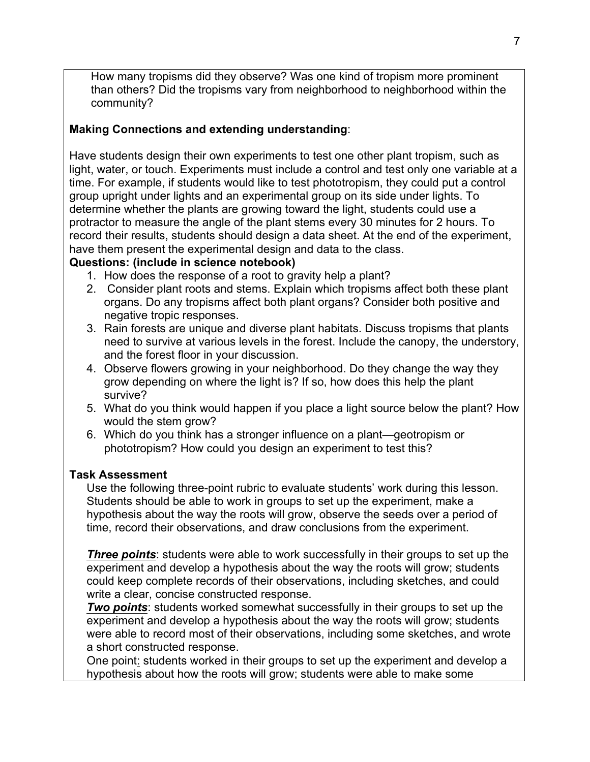How many tropisms did they observe? Was one kind of tropism more prominent than others? Did the tropisms vary from neighborhood to neighborhood within the community?

# **Making Connections and extending understanding**:

Have students design their own experiments to test one other plant tropism, such as light, water, or touch. Experiments must include a control and test only one variable at a time. For example, if students would like to test phototropism, they could put a control group upright under lights and an experimental group on its side under lights. To determine whether the plants are growing toward the light, students could use a protractor to measure the angle of the plant stems every 30 minutes for 2 hours. To record their results, students should design a data sheet. At the end of the experiment, have them present the experimental design and data to the class.

# **Questions: (include in science notebook)**

- 1. How does the response of a root to gravity help a plant?
- 2. Consider plant roots and stems. Explain which tropisms affect both these plant organs. Do any tropisms affect both plant organs? Consider both positive and negative tropic responses.
- 3. Rain forests are unique and diverse plant habitats. Discuss tropisms that plants need to survive at various levels in the forest. Include the canopy, the understory, and the forest floor in your discussion.
- 4. Observe flowers growing in your neighborhood. Do they change the way they grow depending on where the light is? If so, how does this help the plant survive?
- 5. What do you think would happen if you place a light source below the plant? How would the stem grow?
- 6. Which do you think has a stronger influence on a plant—geotropism or phototropism? How could you design an experiment to test this?

## **Task Assessment**

Use the following three-point rubric to evaluate students' work during this lesson. Students should be able to work in groups to set up the experiment, make a hypothesis about the way the roots will grow, observe the seeds over a period of time, record their observations, and draw conclusions from the experiment.

*Three points*: students were able to work successfully in their groups to set up the experiment and develop a hypothesis about the way the roots will grow; students could keep complete records of their observations, including sketches, and could write a clear, concise constructed response.

*Two points:* students worked somewhat successfully in their groups to set up the experiment and develop a hypothesis about the way the roots will grow; students were able to record most of their observations, including some sketches, and wrote a short constructed response.

One point: students worked in their groups to set up the experiment and develop a hypothesis about how the roots will grow; students were able to make some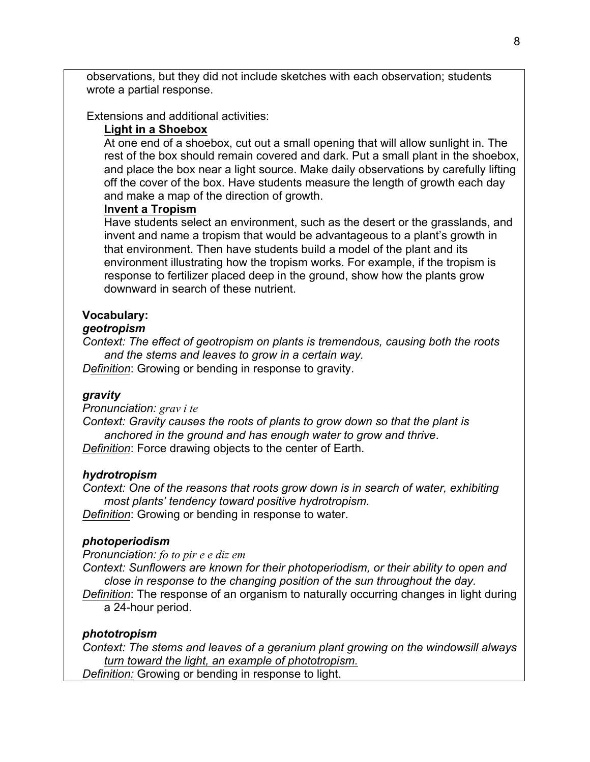observations, but they did not include sketches with each observation; students wrote a partial response.

Extensions and additional activities:

### **Light in a Shoebox**

At one end of a shoebox, cut out a small opening that will allow sunlight in. The rest of the box should remain covered and dark. Put a small plant in the shoebox, and place the box near a light source. Make daily observations by carefully lifting off the cover of the box. Have students measure the length of growth each day and make a map of the direction of growth.

### **Invent a Tropism**

Have students select an environment, such as the desert or the grasslands, and invent and name a tropism that would be advantageous to a plant's growth in that environment. Then have students build a model of the plant and its environment illustrating how the tropism works. For example, if the tropism is response to fertilizer placed deep in the ground, show how the plants grow downward in search of these nutrient.

## **Vocabulary:**

## *geotropism*

*Context: The effect of geotropism on plants is tremendous, causing both the roots and the stems and leaves to grow in a certain way.*

*Definition*: Growing or bending in response to gravity.

### *gravity*

*Pronunciation: grav i te*

*Context: Gravity causes the roots of plants to grow down so that the plant is anchored in the ground and has enough water to grow and thrive*. *Definition*: Force drawing objects to the center of Earth.

#### *hydrotropism*

*Context: One of the reasons that roots grow down is in search of water, exhibiting most plants' tendency toward positive hydrotropism.*

*Definition*: Growing or bending in response to water.

#### *photoperiodism*

*Pronunciation: fo to pir e e diz em*

*Context: Sunflowers are known for their photoperiodism, or their ability to open and close in response to the changing position of the sun throughout the day.*

*Definition*: The response of an organism to naturally occurring changes in light during a 24-hour period.

### *phototropism*

*Context: The stems and leaves of a geranium plant growing on the windowsill always turn toward the light, an example of phototropism. Definition:* Growing or bending in response to light.